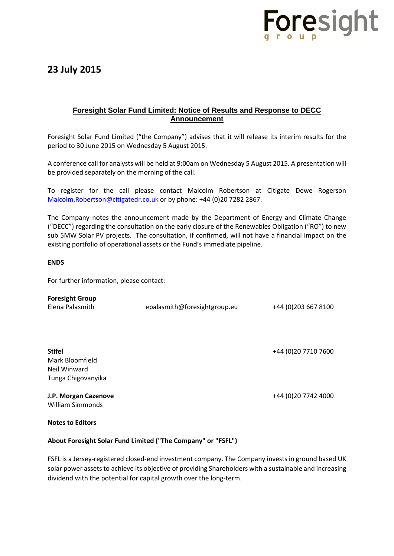

## **23 July 2015**

### **Foresight Solar Fund Limited: Notice of Results and Response to DECC Announcement**

Foresight Solar Fund Limited ("the Company") advises that it will release its interim results for the period to 30 June 2015 on Wednesday 5 August 2015.

A conference call for analysts will be held at 9:00am on Wednesday 5 August 2015. A presentation will be provided separately on the morning of the call.

To register for the call please contact Malcolm Robertson at Citigate Dewe Rogerson [Malcolm.Robertson@citigatedr.co.uk](mailto:Malcolm.Robertson@citigatedr.co.uk) or by phone: +44 (0)20 7282 2867.

The Company notes the announcement made by the Department of Energy and Climate Change ("DECC") regarding the consultation on the early closure of the Renewables Obligation ("RO") to new sub 5MW Solar PV projects. The consultation, if confirmed, will not have a financial impact on the existing portfolio of operational assets or the Fund's immediate pipeline.

#### **ENDS**

For further information, please contact:

| <b>Foresight Group</b><br>Elena Palasmith                              | epalasmith@foresightgroup.eu | +44 (0) 203 667 8100 |
|------------------------------------------------------------------------|------------------------------|----------------------|
| <b>Stifel</b><br>Mark Bloomfield<br>Neil Winward<br>Tunga Chigovanyika |                              | +44 (0) 20 7710 7600 |
| J.P. Morgan Cazenove<br>William Simmonds                               |                              | +44 (0) 20 7742 4000 |

#### **Notes to Editors**

#### **About Foresight Solar Fund Limited ("The Company" or "FSFL")**

FSFL is a Jersey-registered closed-end investment company. The Company invests in ground based UK solar power assets to achieve its objective of providing Shareholders with a sustainable and increasing dividend with the potential for capital growth over the long-term.